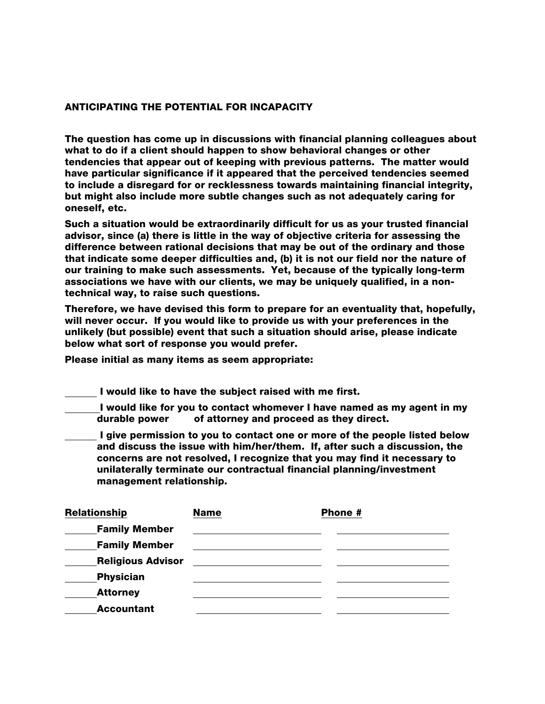## ANTICIPATING THE POTENTIAL FOR INCAPACITY

The question has come up in discussions with financial planning colleagues about what to do if a client should happen to show behavioral changes or other tendencies that appear out of keeping with previous patterns. The matter would have particular significance if it appeared that the perceived tendencies seemed to include a disregard for or recklessness towards maintaining financial integrity, but might also include more subtle changes such as not adequately caring for oneself, etc.

Such a situation would be extraordinarily difficult for us as your trusted financial advisor, since (a) there is little in the way of objective criteria for assessing the difference between rational decisions that may be out of the ordinary and those that indicate some deeper difficulties and, (b) it is not our field nor the nature of our training to make such assessments. Yet, because of the typically long-term associations we have with our clients, we may be uniquely qualified, in a nontechnical way, to raise such questions.

Therefore, we have devised this form to prepare for an eventuality that, hopefully, will never occur. If you would like to provide us with your preferences in the unlikely (but possible) event that such a situation should arise, please indicate below what sort of response you would prefer.

Please initial as many items as seem appropriate:

I would like to have the subject raised with me first.

I would like for you to contact whomever I have named as my agent in my durable power of attorney and proceed as they direct.

I give permission to you to contact one or more of the people listed below and discuss the issue with him/her/them. If, after such a discussion, the concerns are not resolved, I recognize that you may find it necessary to unilaterally terminate our contractual financial planning/investment management relationship.

| Relationship             | <b>Name</b> | Phone # |  |
|--------------------------|-------------|---------|--|
| <b>Family Member</b>     |             |         |  |
| <b>Family Member</b>     |             |         |  |
| <b>Religious Advisor</b> |             |         |  |
| <b>Physician</b>         |             |         |  |
| <b>Attorney</b>          |             |         |  |
| <b>Accountant</b>        |             |         |  |